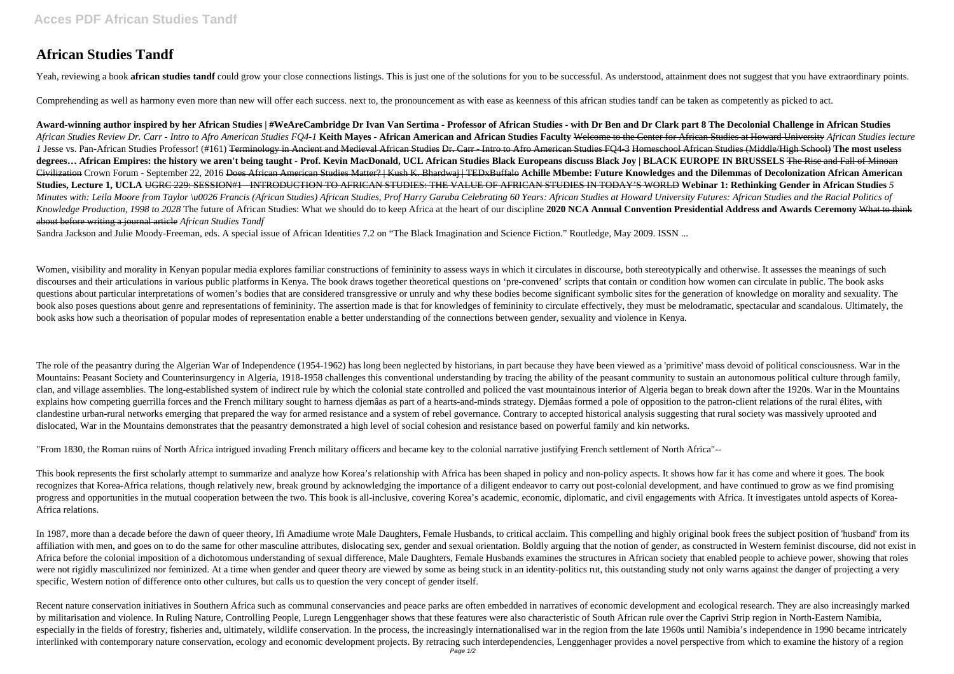## **African Studies Tandf**

Yeah, reviewing a book african studies tandf could grow your close connections listings. This is just one of the solutions for you to be successful. As understood, attainment does not suggest that you have extraordinary po

Comprehending as well as harmony even more than new will offer each success. next to, the pronouncement as with ease as keenness of this african studies tandf can be taken as competently as picked to act.

**Award-winning author inspired by her African Studies | #WeAreCambridge Dr Ivan Van Sertima - Professor of African Studies - with Dr Ben and Dr Clark part 8 The Decolonial Challenge in African Studies** African Studies Review Dr. Carr - Intro to Afro American Studies FO4-1 Keith Mayes - African American and African Studies Faculty Welcome to the Center for African Studies at Howard University African Studies lecture 1 Jesse vs. Pan-African Studies Professor! (#161) <del>Terminology in Ancient and Medieval African Studies Dr. Carr - Intro to Afro American Studies FO4-3 Homeschool African Studies (Middle/High School) The most useless</del> **degrees… African Empires: the history we aren't being taught - Prof. Kevin MacDonald, UCL African Studies Black Europeans discuss Black Joy | BLACK EUROPE IN BRUSSELS** The Rise and Fall of Minoan Civilization Crown Forum - September 22, 2016 Does African American Studies Matter? | Kush K. Bhardwaj | TEDxBuffalo **Achille Mbembe: Future Knowledges and the Dilemmas of Decolonization African American Studies, Lecture 1, UCLA** UGRC 229: SESSION#1 - INTRODUCTION TO AFRICAN STUDIES: THE VALUE OF AFRICAN STUDIES IN TODAY'S WORLD **Webinar 1: Rethinking Gender in African Studies** *5* Minutes with: Leila Moore from Taylor \u0026 Francis (African Studies) African Studies, Prof Harry Garuba Celebrating 60 Years: African Studies at Howard University Futures: African Studies and the Racial Politics of Knowledge Production, 1998 to 2028 The future of African Studies: What we should do to keep Africa at the heart of our discipline 2020 NCA Annual Convention Presidential Address and Awards Ceremony What to think about before writing a journal article *African Studies Tandf*

Sandra Jackson and Julie Moody-Freeman, eds. A special issue of African Identities 7.2 on "The Black Imagination and Science Fiction." Routledge, May 2009. ISSN ...

Women, visibility and morality in Kenyan popular media explores familiar constructions of femininity to assess ways in which it circulates in discourse, both stereotypically and otherwise. It assesses the meanings of such discourses and their articulations in various public platforms in Kenya. The book draws together theoretical questions on 'pre-convened' scripts that contain or condition how women can circulate in public. The book asks questions about particular interpretations of women's bodies that are considered transgressive or unruly and why these bodies become significant symbolic sites for the generation of knowledge on morality and sexuality. The book also poses questions about genre and representations of feminimity. The assertion made is that for knowledges of feminimity to circulate effectively, they must be melodramatic, spectacular and scandalous. Ultimately, book asks how such a theorisation of popular modes of representation enable a better understanding of the connections between gender, sexuality and violence in Kenya.

The role of the peasantry during the Algerian War of Independence (1954-1962) has long been neglected by historians, in part because they have been viewed as a 'primitive' mass devoid of political consciousness. War in the Mountains: Peasant Society and Counterinsurgency in Algeria, 1918-1958 challenges this conventional understanding by tracing the ability of the peasant community to sustain an autonomous political culture through family, clan, and village assemblies. The long-established system of indirect rule by which the colonial state controlled and policed the vast mountainous interior of Algeria began to break down after the 1920s. War in the Mountains explains how competing guerrilla forces and the French military sought to harness djemâas as part of a hearts-and-minds strategy. Djemâas formed a pole of opposition to the patron-client relations of the rural élites, with clandestine urban-rural networks emerging that prepared the way for armed resistance and a system of rebel governance. Contrary to accepted historical analysis suggesting that rural society was massively uprooted and dislocated, War in the Mountains demonstrates that the peasantry demonstrated a high level of social cohesion and resistance based on powerful family and kin networks.

In 1987, more than a decade before the dawn of queer theory, Ifi Amadiume wrote Male Daughters, Female Husbands, to critical acclaim. This compelling and highly original book frees the subject position of 'husband' from it affiliation with men, and goes on to do the same for other masculine attributes, dislocating sex, gender and sexual orientation. Boldly arguing that the notion of gender, as constructed in Western feminist discourse, did n Africa before the colonial imposition of a dichotomous understanding of sexual difference, Male Daughters, Female Husbands examines the structures in African society that enabled people to achieve power, showing that roles were not rigidly masculinized nor feminized. At a time when gender and queer theory are viewed by some as being stuck in an identity-politics rut, this outstanding study not only warns against the danger of projecting a ve specific, Western notion of difference onto other cultures, but calls us to question the very concept of gender itself.

Recent nature conservation initiatives in Southern Africa such as communal conservancies and peace parks are often embedded in narratives of economic development and ecological research. They are also increasingly marked by militarisation and violence. In Ruling Nature, Controlling People, Luregn Lenggenhager shows that these features were also characteristic of South African rule over the Caprivi Strip region in North-Eastern Namibia, especially in the fields of forestry, fisheries and, ultimately, wildlife conservation. In the process, the increasingly internationalised war in the region from the late 1960s until Namibia's independence in 1990 became i interlinked with contemporary nature conservation, ecology and economic development projects. By retracing such interdependencies, Lenggenhager provides a novel perspective from which to examine the history of a region

"From 1830, the Roman ruins of North Africa intrigued invading French military officers and became key to the colonial narrative justifying French settlement of North Africa"--

This book represents the first scholarly attempt to summarize and analyze how Korea's relationship with Africa has been shaped in policy and non-policy aspects. It shows how far it has come and where it goes. The book recognizes that Korea-Africa relations, though relatively new, break ground by acknowledging the importance of a diligent endeavor to carry out post-colonial development, and have continued to grow as we find promising progress and opportunities in the mutual cooperation between the two. This book is all-inclusive, covering Korea's academic, economic, diplomatic, and civil engagements with Africa. It investigates untold aspects of Korea-Africa relations.